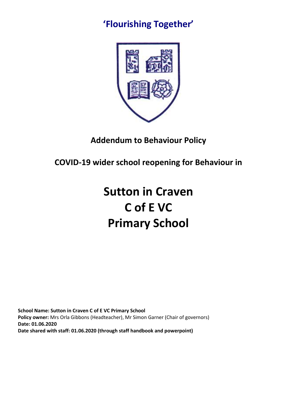## **'Flourishing Together'**



### **Addendum to Behaviour Policy**

**COVID-19 wider school reopening for Behaviour in** 

# **Sutton in Craven C of E VC Primary School**

**School Name: Sutton in Craven C of E VC Primary School Policy owner:** Mrs Orla Gibbons (Headteacher), Mr Simon Garner (Chair of governors) **Date: 01.06.2020 Date shared with staff: 01.06.2020 (through staff handbook and powerpoint)**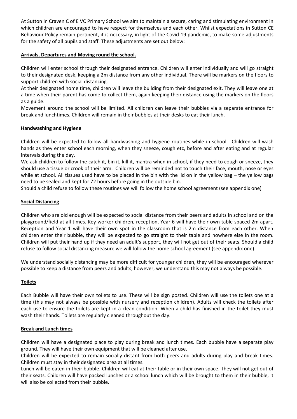At Sutton in Craven C of E VC Primary School we aim to maintain a secure, caring and stimulating environment in which children are encouraged to have respect for themselves and each other. Whilst expectations in Sutton CE Behaviour Policy remain pertinent, it is necessary, in light of the Covid-19 pandemic, to make some adjustments for the safety of all pupils and staff. These adjustments are set out below:

#### **Arrivals, Departures and Moving round the school.**

Children will enter school through their designated entrance. Children will enter individually and will go straight to their designated desk, keeping a 2m distance from any other individual. There will be markers on the floors to support children with social distancing.

At their designated home time, children will leave the building from their designated exit. They will leave one at a time when their parent has come to collect them, again keeping their distance using the markers on the floors as a guide.

Movement around the school will be limited. All children can leave their bubbles via a separate entrance for break and lunchtimes. Children will remain in their bubbles at their desks to eat their lunch.

#### **Handwashing and Hygiene**

Children will be expected to follow all handwashing and hygiene routines while in school. Children will wash hands as they enter school each morning, when they sneeze, cough etc, before and after eating and at regular intervals during the day.

We ask children to follow the catch it, bin it, kill it, mantra when in school, if they need to cough or sneeze, they should use a tissue or crook of their arm. Children will be reminded not to touch their face, mouth, nose or eyes while at school. All tissues used have to be placed in the bin with the lid on in the yellow bag – the yellow bags need to be sealed and kept for 72 hours before going in the outside bin.

Should a child refuse to follow these routines we will follow the home school agreement (see appendix one)

#### **Social Distancing**

Children who are old enough will be expected to social distance from their peers and adults in school and on the playground/field at all times. Key worker children, reception, Year 6 will have their own table spaced 2m apart. Reception and Year 1 will have their own spot in the classroom that is 2m distance from each other. When children enter their bubble, they will be expected to go straight to their table and nowhere else in the room. Children will put their hand up if they need an adult's support, they will not get out of their seats. Should a child refuse to follow social distancing measure we will follow the home school agreement (see appendix one)

We understand socially distancing may be more difficult for younger children, they will be encouraged wherever possible to keep a distance from peers and adults, however, we understand this may not always be possible.

#### **Toilets**

Each Bubble will have their own toilets to use. These will be sign posted. Children will use the toilets one at a time (this may not always be possible with nursery and reception children). Adults will check the toilets after each use to ensure the toilets are kept in a clean condition. When a child has finished in the toilet they must wash their hands. Toilets are regularly cleaned throughout the day.

#### **Break and Lunch times**

Children will have a designated place to play during break and lunch times. Each bubble have a separate play ground. They will have their own equipment that will be cleaned after use.

Children will be expected to remain socially distant from both peers and adults during play and break times. Children must stay in their designated area at all times.

Lunch will be eaten in their bubble. Children will eat at their table or in their own space. They will not get out of their seats. Children will have packed lunches or a school lunch which will be brought to them in their bubble, it will also be collected from their bubble.